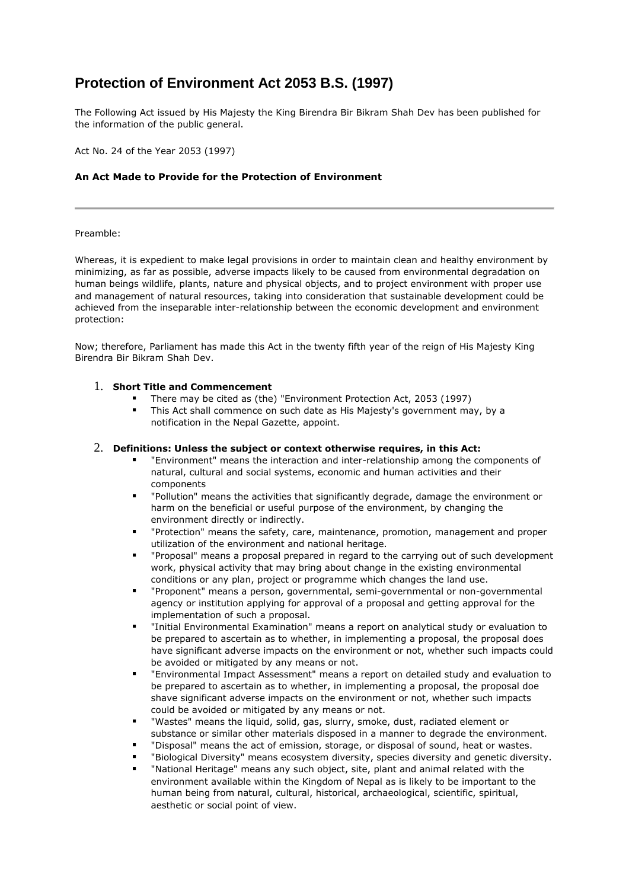# **Protection of Environment Act 2053 B.S. (1997)**

The Following Act issued by His Majesty the King Birendra Bir Bikram Shah Dev has been published for the information of the public general.

Act No. 24 of the Year 2053 (1997)

## **An Act Made to Provide for the Protection of Environment**

#### Preamble:

Whereas, it is expedient to make legal provisions in order to maintain clean and healthy environment by minimizing, as far as possible, adverse impacts likely to be caused from environmental degradation on human beings wildlife, plants, nature and physical objects, and to project environment with proper use and management of natural resources, taking into consideration that sustainable development could be achieved from the inseparable inter-relationship between the economic development and environment protection:

Now; therefore, Parliament has made this Act in the twenty fifth year of the reign of His Majesty King Birendra Bir Bikram Shah Dev.

#### 1. **Short Title and Commencement**

- There may be cited as (the) "Environment Protection Act, 2053 (1997)
- This Act shall commence on such date as His Majesty's government may, by a notification in the Nepal Gazette, appoint.

# 2. **Definitions: Unless the subject or context otherwise requires, in this Act:**

- "Environment" means the interaction and inter-relationship among the components of natural, cultural and social systems, economic and human activities and their components
- "Pollution" means the activities that significantly degrade, damage the environment or harm on the beneficial or useful purpose of the environment, by changing the environment directly or indirectly.
- "Protection" means the safety, care, maintenance, promotion, management and proper utilization of the environment and national heritage.
- "Proposal" means a proposal prepared in regard to the carrying out of such development work, physical activity that may bring about change in the existing environmental conditions or any plan, project or programme which changes the land use.
- "Proponent" means a person, governmental, semi-governmental or non-governmental agency or institution applying for approval of a proposal and getting approval for the implementation of such a proposal.
- "Initial Environmental Examination" means a report on analytical study or evaluation to be prepared to ascertain as to whether, in implementing a proposal, the proposal does have significant adverse impacts on the environment or not, whether such impacts could be avoided or mitigated by any means or not.
- "Environmental Impact Assessment" means a report on detailed study and evaluation to be prepared to ascertain as to whether, in implementing a proposal, the proposal doe shave significant adverse impacts on the environment or not, whether such impacts could be avoided or mitigated by any means or not.
- "Wastes" means the liquid, solid, gas, slurry, smoke, dust, radiated element or substance or similar other materials disposed in a manner to degrade the environment.
- "Disposal" means the act of emission, storage, or disposal of sound, heat or wastes.
- "Biological Diversity" means ecosystem diversity, species diversity and genetic diversity.
- "National Heritage" means any such object, site, plant and animal related with the environment available within the Kingdom of Nepal as is likely to be important to the human being from natural, cultural, historical, archaeological, scientific, spiritual, aesthetic or social point of view.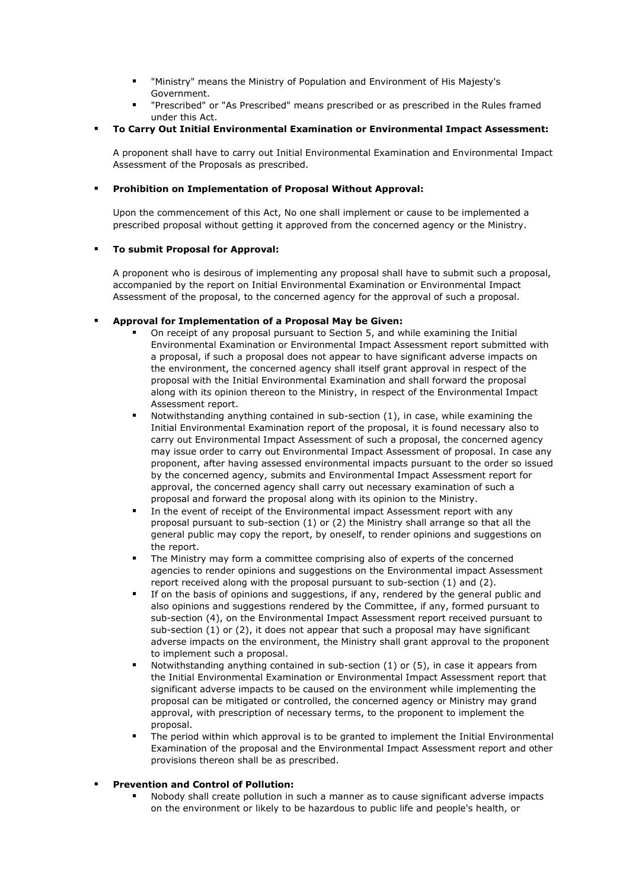- "Ministry" means the Ministry of Population and Environment of His Majesty's Government.
- "Prescribed" or "As Prescribed" means prescribed or as prescribed in the Rules framed under this Act.
- **To Carry Out Initial Environmental Examination or Environmental Impact Assessment:**

A proponent shall have to carry out Initial Environmental Examination and Environmental Impact Assessment of the Proposals as prescribed.

## **Prohibition on Implementation of Proposal Without Approval:**

Upon the commencement of this Act, No one shall implement or cause to be implemented a prescribed proposal without getting it approved from the concerned agency or the Ministry.

#### **To submit Proposal for Approval:**

A proponent who is desirous of implementing any proposal shall have to submit such a proposal, accompanied by the report on Initial Environmental Examination or Environmental Impact Assessment of the proposal, to the concerned agency for the approval of such a proposal.

## **Approval for Implementation of a Proposal May be Given:**

- On receipt of any proposal pursuant to Section 5, and while examining the Initial Environmental Examination or Environmental Impact Assessment report submitted with a proposal, if such a proposal does not appear to have significant adverse impacts on the environment, the concerned agency shall itself grant approval in respect of the proposal with the Initial Environmental Examination and shall forward the proposal along with its opinion thereon to the Ministry, in respect of the Environmental Impact Assessment report.
- Notwithstanding anything contained in sub-section (1), in case, while examining the Initial Environmental Examination report of the proposal, it is found necessary also to carry out Environmental Impact Assessment of such a proposal, the concerned agency may issue order to carry out Environmental Impact Assessment of proposal. In case any proponent, after having assessed environmental impacts pursuant to the order so issued by the concerned agency, submits and Environmental Impact Assessment report for approval, the concerned agency shall carry out necessary examination of such a proposal and forward the proposal along with its opinion to the Ministry.
- **IF In the event of receipt of the Environmental impact Assessment report with any** proposal pursuant to sub-section (1) or (2) the Ministry shall arrange so that all the general public may copy the report, by oneself, to render opinions and suggestions on the report.
- The Ministry may form a committee comprising also of experts of the concerned agencies to render opinions and suggestions on the Environmental impact Assessment report received along with the proposal pursuant to sub-section (1) and (2).
- If on the basis of opinions and suggestions, if any, rendered by the general public and also opinions and suggestions rendered by the Committee, if any, formed pursuant to sub-section (4), on the Environmental Impact Assessment report received pursuant to sub-section (1) or (2), it does not appear that such a proposal may have significant adverse impacts on the environment, the Ministry shall grant approval to the proponent to implement such a proposal.
- Notwithstanding anything contained in sub-section (1) or (5), in case it appears from the Initial Environmental Examination or Environmental Impact Assessment report that significant adverse impacts to be caused on the environment while implementing the proposal can be mitigated or controlled, the concerned agency or Ministry may grand approval, with prescription of necessary terms, to the proponent to implement the proposal.
- The period within which approval is to be granted to implement the Initial Environmental Examination of the proposal and the Environmental Impact Assessment report and other provisions thereon shall be as prescribed.

# **Prevention and Control of Pollution:**

 Nobody shall create pollution in such a manner as to cause significant adverse impacts on the environment or likely to be hazardous to public life and people's health, or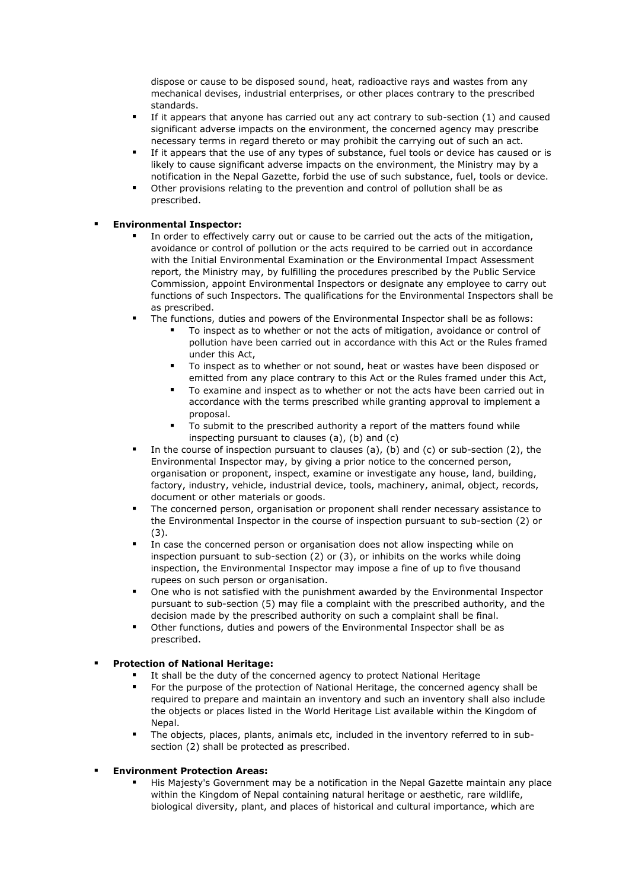dispose or cause to be disposed sound, heat, radioactive rays and wastes from any mechanical devises, industrial enterprises, or other places contrary to the prescribed standards.

- If it appears that anyone has carried out any act contrary to sub-section (1) and caused significant adverse impacts on the environment, the concerned agency may prescribe necessary terms in regard thereto or may prohibit the carrying out of such an act.
- If it appears that the use of any types of substance, fuel tools or device has caused or is likely to cause significant adverse impacts on the environment, the Ministry may by a notification in the Nepal Gazette, forbid the use of such substance, fuel, tools or device.
- Other provisions relating to the prevention and control of pollution shall be as prescribed.

## **Environmental Inspector:**

- In order to effectively carry out or cause to be carried out the acts of the mitigation, avoidance or control of pollution or the acts required to be carried out in accordance with the Initial Environmental Examination or the Environmental Impact Assessment report, the Ministry may, by fulfilling the procedures prescribed by the Public Service Commission, appoint Environmental Inspectors or designate any employee to carry out functions of such Inspectors. The qualifications for the Environmental Inspectors shall be as prescribed.
- The functions, duties and powers of the Environmental Inspector shall be as follows:
	- To inspect as to whether or not the acts of mitigation, avoidance or control of pollution have been carried out in accordance with this Act or the Rules framed under this Act,
	- To inspect as to whether or not sound, heat or wastes have been disposed or emitted from any place contrary to this Act or the Rules framed under this Act,
	- To examine and inspect as to whether or not the acts have been carried out in accordance with the terms prescribed while granting approval to implement a proposal.
	- To submit to the prescribed authority a report of the matters found while inspecting pursuant to clauses (a), (b) and (c)
- In the course of inspection pursuant to clauses (a), (b) and (c) or sub-section (2), the Environmental Inspector may, by giving a prior notice to the concerned person, organisation or proponent, inspect, examine or investigate any house, land, building, factory, industry, vehicle, industrial device, tools, machinery, animal, object, records, document or other materials or goods.
- The concerned person, organisation or proponent shall render necessary assistance to the Environmental Inspector in the course of inspection pursuant to sub-section (2) or (3).
- In case the concerned person or organisation does not allow inspecting while on inspection pursuant to sub-section (2) or (3), or inhibits on the works while doing inspection, the Environmental Inspector may impose a fine of up to five thousand rupees on such person or organisation.
- One who is not satisfied with the punishment awarded by the Environmental Inspector pursuant to sub-section (5) may file a complaint with the prescribed authority, and the decision made by the prescribed authority on such a complaint shall be final.
- Other functions, duties and powers of the Environmental Inspector shall be as prescribed.

# **Protection of National Heritage:**

- It shall be the duty of the concerned agency to protect National Heritage
- For the purpose of the protection of National Heritage, the concerned agency shall be required to prepare and maintain an inventory and such an inventory shall also include the objects or places listed in the World Heritage List available within the Kingdom of Nepal.
- The objects, places, plants, animals etc, included in the inventory referred to in subsection (2) shall be protected as prescribed.

# **Environment Protection Areas:**

 His Majesty's Government may be a notification in the Nepal Gazette maintain any place within the Kingdom of Nepal containing natural heritage or aesthetic, rare wildlife, biological diversity, plant, and places of historical and cultural importance, which are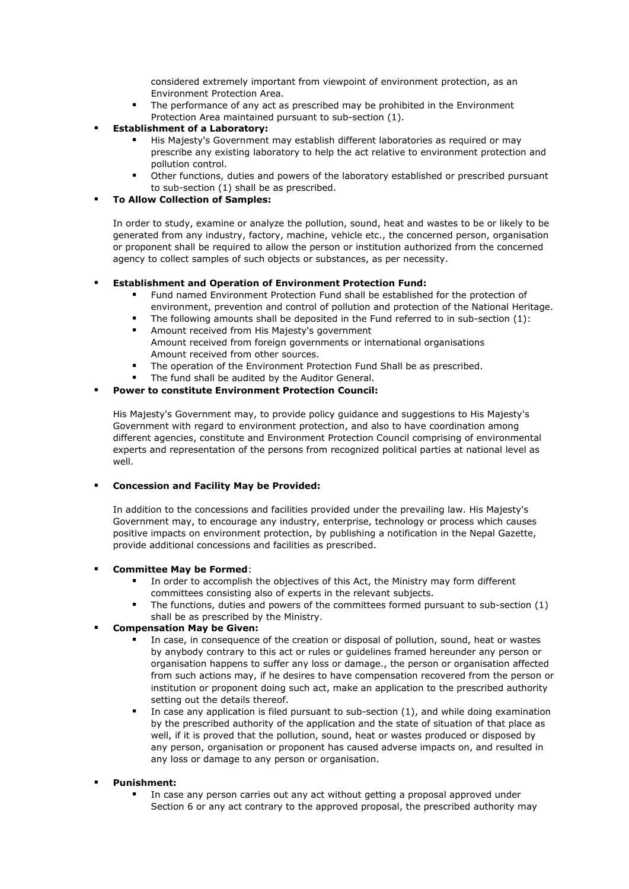considered extremely important from viewpoint of environment protection, as an Environment Protection Area.

 The performance of any act as prescribed may be prohibited in the Environment Protection Area maintained pursuant to sub-section (1).

## **Establishment of a Laboratory:**

- His Majesty's Government may establish different laboratories as required or may prescribe any existing laboratory to help the act relative to environment protection and pollution control.
- Other functions, duties and powers of the laboratory established or prescribed pursuant to sub-section (1) shall be as prescribed.

## **To Allow Collection of Samples:**

In order to study, examine or analyze the pollution, sound, heat and wastes to be or likely to be generated from any industry, factory, machine, vehicle etc., the concerned person, organisation or proponent shall be required to allow the person or institution authorized from the concerned agency to collect samples of such objects or substances, as per necessity.

## **Establishment and Operation of Environment Protection Fund:**

- Fund named Environment Protection Fund shall be established for the protection of environment, prevention and control of pollution and protection of the National Heritage.
- The following amounts shall be deposited in the Fund referred to in sub-section (1): Amount received from His Majesty's government Amount received from foreign governments or international organisations Amount received from other sources.
- The operation of the Environment Protection Fund Shall be as prescribed.
- The fund shall be audited by the Auditor General.

## **Power to constitute Environment Protection Council:**

His Majesty's Government may, to provide policy guidance and suggestions to His Majesty's Government with regard to environment protection, and also to have coordination among different agencies, constitute and Environment Protection Council comprising of environmental experts and representation of the persons from recognized political parties at national level as well.

#### **Concession and Facility May be Provided:**

In addition to the concessions and facilities provided under the prevailing law. His Majesty's Government may, to encourage any industry, enterprise, technology or process which causes positive impacts on environment protection, by publishing a notification in the Nepal Gazette, provide additional concessions and facilities as prescribed.

#### **Committee May be Formed**:

- In order to accomplish the objectives of this Act, the Ministry may form different committees consisting also of experts in the relevant subjects.
- The functions, duties and powers of the committees formed pursuant to sub-section (1) shall be as prescribed by the Ministry.

## **Compensation May be Given:**

- In case, in consequence of the creation or disposal of pollution, sound, heat or wastes by anybody contrary to this act or rules or guidelines framed hereunder any person or organisation happens to suffer any loss or damage., the person or organisation affected from such actions may, if he desires to have compensation recovered from the person or institution or proponent doing such act, make an application to the prescribed authority setting out the details thereof.
- In case any application is filed pursuant to sub-section (1), and while doing examination by the prescribed authority of the application and the state of situation of that place as well, if it is proved that the pollution, sound, heat or wastes produced or disposed by any person, organisation or proponent has caused adverse impacts on, and resulted in any loss or damage to any person or organisation.

#### **Punishment:**

 In case any person carries out any act without getting a proposal approved under Section 6 or any act contrary to the approved proposal, the prescribed authority may